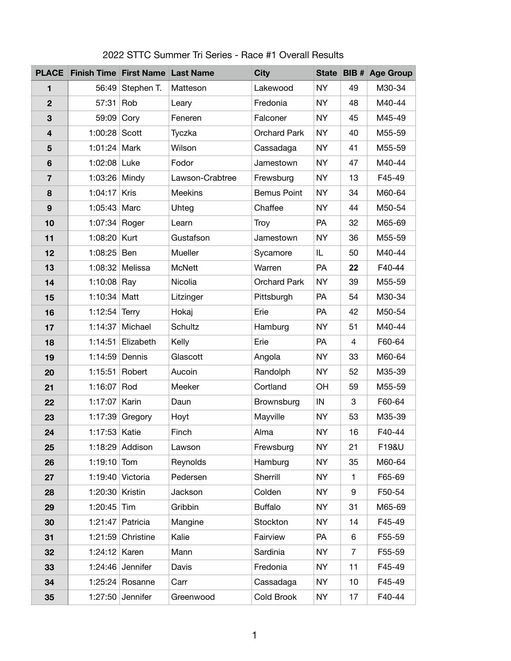| <b>PLACE</b>            | <b>Finish Time First Name Last Name</b> |                    |                 | <b>City</b>         |           |                | State BIB # Age Group |
|-------------------------|-----------------------------------------|--------------------|-----------------|---------------------|-----------|----------------|-----------------------|
| 1                       | 56:49                                   | Stephen T.         | Matteson        | Lakewood            | <b>NY</b> | 49             | M30-34                |
| $\overline{2}$          | 57:31                                   | Rob                | Leary           | Fredonia            | <b>NY</b> | 48             | M40-44                |
| 3                       | 59:09                                   | Cory               | Feneren         | Falconer            | <b>NY</b> | 45             | M45-49                |
| $\overline{\mathbf{4}}$ | 1:00:28                                 | Scott              | Tyczka          | <b>Orchard Park</b> | <b>NY</b> | 40             | M55-59                |
| 5                       | 1:01:24 Mark                            |                    | Wilson          | Cassadaga           | <b>NY</b> | 41             | M55-59                |
| 6                       | 1:02:08 Luke                            |                    | Fodor           | Jamestown           | <b>NY</b> | 47             | M40-44                |
| $\overline{7}$          | 1:03:26 Mindy                           |                    | Lawson-Crabtree | Frewsburg           | <b>NY</b> | 13             | F45-49                |
| 8                       | 1:04:17                                 | <b>Kris</b>        | <b>Meekins</b>  | <b>Bemus Point</b>  | <b>NY</b> | 34             | M60-64                |
| 9                       | $1:05:43$ Marc                          |                    | Uhteg           | Chaffee             | <b>NY</b> | 44             | M50-54                |
| 10                      | 1:07:34 Roger                           |                    | Learn           | <b>Troy</b>         | PA        | 32             | M65-69                |
| 11                      | 1:08:20 Kurt                            |                    | Gustafson       | Jamestown           | <b>NY</b> | 36             | M55-59                |
| 12                      | 1:08:25                                 | <b>Ben</b>         | <b>Mueller</b>  | Sycamore            | IL        | 50             | M40-44                |
| 13                      | 1:08:32                                 | Melissa            | <b>McNett</b>   | Warren              | PA        | 22             | F40-44                |
| 14                      | 1:10:08                                 | Ray                | <b>Nicolia</b>  | <b>Orchard Park</b> | <b>NY</b> | 39             | M55-59                |
| 15                      | 1:10:34 Matt                            |                    | Litzinger       | Pittsburgh          | <b>PA</b> | 54             | M30-34                |
| 16                      | 1:12:54 Terry                           |                    | Hokaj           | Erie                | <b>PA</b> | 42             | M50-54                |
| 17                      | 1:14:37                                 | Michael            | <b>Schultz</b>  | Hamburg             | <b>NY</b> | 51             | M40-44                |
| 18                      | 1:14:51                                 | Elizabeth          | <b>Kelly</b>    | Erie                | PA        | $\overline{4}$ | F60-64                |
| 19                      | 1:14:59                                 | Dennis             | Glascott        | Angola              | <b>NY</b> | 33             | M60-64                |
| 20                      | 1:15:51                                 | Robert             | Aucoin          | Randolph            | <b>NY</b> | 52             | M35-39                |
| 21                      | 1:16:07                                 | Rod                | <b>Meeker</b>   | Cortland            | <b>OH</b> | 59             | M55-59                |
| 22                      | 1:17:07                                 | Karin              | Daun            | <b>Brownsburg</b>   | IN        | 3              | F60-64                |
| 23                      | 1:17:39                                 | Gregory            | Hoyt            | Mayville            | <b>NY</b> | 53             | M35-39                |
| 24                      | 1:17:53 Katie                           |                    | Finch           | Alma                | <b>NY</b> | 16             | F40-44                |
| 25                      |                                         | 1:18:29 Addison    | Lawson          | Frewsburg           | <b>NY</b> | 21             | F19&U                 |
| 26                      | $1:19:10$ Tom                           |                    | Reynolds        | Hamburg             | <b>NY</b> | 35             | M60-64                |
| 27                      |                                         | 1:19:40 Victoria   | Pedersen        | Sherrill            | <b>NY</b> | 1              | F65-69                |
| 28                      | 1:20:30                                 | Kristin            | Jackson         | Colden              | <b>NY</b> | 9              | F50-54                |
| 29                      | 1:20:45                                 | $\mathsf{Tim}$     | Gribbin         | <b>Buffalo</b>      | <b>NY</b> | 31             | M65-69                |
| 30                      | 1:21:47                                 | Patricia           | Mangine         | Stockton            | <b>NY</b> | 14             | F45-49                |
| 31                      | 1:21:59                                 | Christine          | Kalie           | Fairview            | <b>PA</b> | $6\phantom{1}$ | F55-59                |
| 32                      | 1:24:12                                 | Karen              | Mann            | Sardinia            | <b>NY</b> | $\overline{7}$ | F55-59                |
| 33                      | 1:24:46                                 | Jennifer           | Davis           | Fredonia            | <b>NY</b> | 11             | F45-49                |
| 34                      | 1:25:24                                 | Rosanne            | Carr            | Cassadaga           | <b>NY</b> | 10             | F45-49                |
| 35                      |                                         | $1:27:50$ Jennifer | Greenwood       | Cold Brook          | <b>NY</b> | 17             | F40-44                |

## 2022 STTC Summer Tri Series - Race #1 Overall Results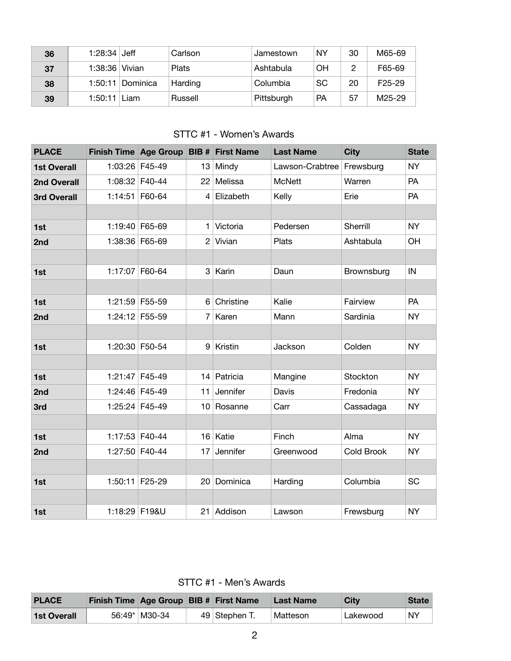| 36 | $1:28:34$ Jeff |                    | Carlson      | Jamestown  | <b>NY</b> | 30            | M65-69              |
|----|----------------|--------------------|--------------|------------|-----------|---------------|---------------------|
| 37 | 1:38:36 Vivian |                    | <b>Plats</b> | Ashtabula  | ΟH        | $\mathcal{D}$ | F65-69              |
| 38 |                | $1:50:11$ Dominica | Harding      | Columbia   | <b>SC</b> | 20            | F <sub>25</sub> -29 |
| 39 | 1:50:11        | Liam               | Russell      | Pittsburgh | <b>PA</b> | 57            | M25-29              |

## STTC #1 - Women's Awards

| <b>PLACE</b>       | Finish Time   Age Group   BIB #   First Name |                |                 |                | <b>Last Name</b> | <b>City</b>       | <b>State</b> |
|--------------------|----------------------------------------------|----------------|-----------------|----------------|------------------|-------------------|--------------|
| <b>1st Overall</b> | 1:03:26 F45-49                               |                | 13              | Mindy          | Lawson-Crabtree  | Frewsburg         | <b>NY</b>    |
| <b>2nd Overall</b> |                                              | 1:08:32 F40-44 | 22 <sub>2</sub> | Melissa        | <b>McNett</b>    | Warren            | <b>PA</b>    |
| <b>3rd Overall</b> | $1:14:51$ F60-64                             |                | 4               | Elizabeth      | <b>Kelly</b>     | Erie              | <b>PA</b>    |
|                    |                                              |                |                 |                |                  |                   |              |
| 1st                | 1:19:40 F65-69                               |                | 1               | Victoria       | Pedersen         | <b>Sherrill</b>   | <b>NY</b>    |
| 2nd                | 1:38:36 F65-69                               |                | $\overline{2}$  | Vivian         | <b>Plats</b>     | Ashtabula         | OH           |
|                    |                                              |                |                 |                |                  |                   |              |
| 1st                | 1:17:07                                      | F60-64         | 3               | Karin          | Daun             | <b>Brownsburg</b> | IN           |
|                    |                                              |                |                 |                |                  |                   |              |
| 1st                | 1:21:59 F55-59                               |                | 6               | Christine      | Kalie            | Fairview          | <b>PA</b>    |
| 2nd                | 1:24:12 F55-59                               |                | 7 <sup>1</sup>  | Karen          | Mann             | Sardinia          | <b>NY</b>    |
|                    |                                              |                |                 |                |                  |                   |              |
| 1st                | 1:20:30 F50-54                               |                | 9               | <b>Kristin</b> | Jackson          | Colden            | <b>NY</b>    |
|                    |                                              |                |                 |                |                  |                   |              |
| 1st                | 1:21:47                                      | F45-49         | 14              | Patricia       | Mangine          | Stockton          | <b>NY</b>    |
| 2nd                | 1:24:46 F45-49                               |                | 11              | Jennifer       | Davis            | Fredonia          | <b>NY</b>    |
| 3rd                | 1:25:24 F45-49                               |                | 10 <sup>°</sup> | Rosanne        | Carr             | Cassadaga         | <b>NY</b>    |
|                    |                                              |                |                 |                |                  |                   |              |
| 1st                | $1:17:53$ F40-44                             |                |                 | 16 Katie       | Finch            | Alma              | <b>NY</b>    |
| 2nd                |                                              | 1:27:50 F40-44 | 17              | Jennifer       | Greenwood        | <b>Cold Brook</b> | <b>NY</b>    |
|                    |                                              |                |                 |                |                  |                   |              |
| 1st                | 1:50:11 F25-29                               |                | 20              | Dominica       | Harding          | Columbia          | <b>SC</b>    |
|                    |                                              |                |                 |                |                  |                   |              |
| 1st                | 1:18:29 F19&U                                |                | 21              | Addison        | Lawson           | Frewsburg         | <b>NY</b>    |

STTC #1 - Men's Awards

| <b>PLACE</b>       | Finish Time Age Group BIB # First Name |                 |               | <b>Last Name</b> | <b>City</b> | <b>State</b> |
|--------------------|----------------------------------------|-----------------|---------------|------------------|-------------|--------------|
| <b>1st Overall</b> |                                        | 56:49*   M30-34 | 49 Stephen T. | Matteson         | Lakewood    | <b>NY</b>    |